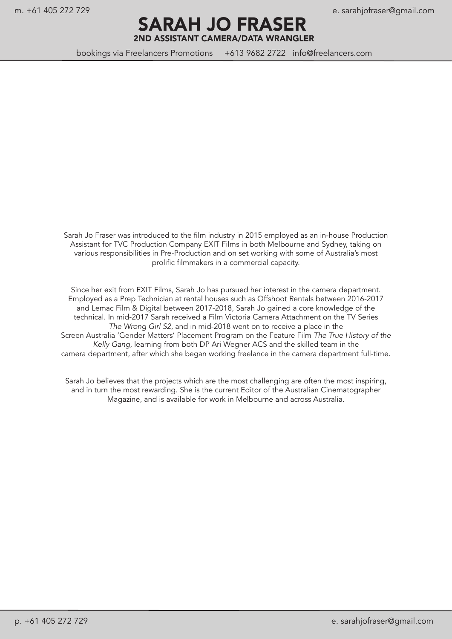#### m. +61 405 272 729 e. sarahjofraser@gmail.com

SARAH JO FRASER 2ND ASSISTANT CAMERA/DATA WRANGLER

bookings via Freelancers Promotions +613 9682 2722 info@freelancers.com

Sarah Jo Fraser was introduced to the film industry in 2015 employed as an in-house Production Assistant for TVC Production Company EXIT Films in both Melbourne and Sydney, taking on various responsibilities in Pre-Production and on set working with some of Australia's most prolific filmmakers in a commercial capacity.

Since her exit from EXIT Films, Sarah Jo has pursued her interest in the camera department. Employed as a Prep Technician at rental houses such as Offshoot Rentals between 2016-2017 and Lemac Film & Digital between 2017-2018, Sarah Jo gained a core knowledge of the technical. In mid-2017 Sarah received a Film Victoria Camera Attachment on the TV Series *The Wrong Girl S2*, and in mid-2018 went on to receive a place in the Screen Australia 'Gender Matters' Placement Program on the Feature Film *The True History of the Kelly Gang*, learning from both DP Ari Wegner ACS and the skilled team in the camera department, after which she began working freelance in the camera department full-time.

Sarah Jo believes that the projects which are the most challenging are often the most inspiring, and in turn the most rewarding. She is the current Editor of the Australian Cinematographer Magazine, and is available for work in Melbourne and across Australia.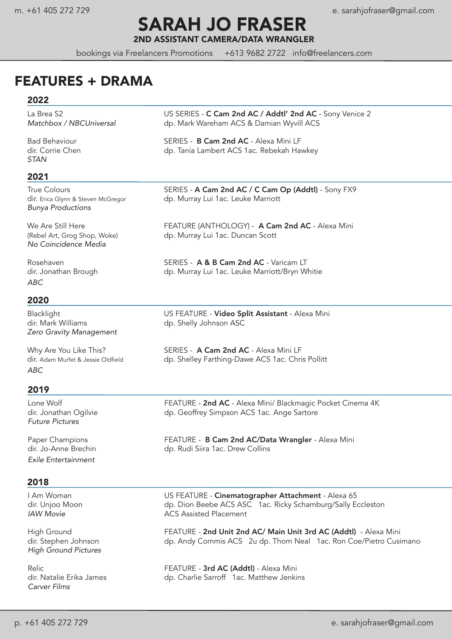# SARAH JO FRASER

2ND ASSISTANT CAMERA/DATA WRANGLER

bookings via Freelancers Promotions +613 9682 2722 info@freelancers.com

### FEATURES + DRAMA

#### 2022

*STAN*

#### 2021

*Bunya Productions*

*No Coincidence Media*

*ABC*

#### 2020

dir. Mark Williams dp. Shelly Johnson ASC *Zero Gravity Management*

*ABC*

#### 2019

*Future Pictures*

*Exile Entertainment*

#### 2018

*High Ground Pictures*

*Carver Films*

La Brea S2 US SERIES - C Cam 2nd AC / Addtl' 2nd AC - Sony Venice 2<br>Matchbox / NBCUniversal dp. Mark Wareham ACS & Damian Wyvill ACS *Matchbox / NBCUniversal* dp. Mark Wareham ACS & Damian Wyvill ACS

Bad Behaviour SERIES - B Cam 2nd AC - Alexa Mini LF dir. Corrie Chen dp. Tania Lambert ACS 1ac. Rebekah Hawkey

True Colours **SERIES - A Cam 2nd AC / C Cam Op (Addtl)** - Sony FX9 dir. Erica Glynn & Steven McGregor dp. Murray Lui 1ac. Leuke Marriott

We Are Still Here **FEATURE (ANTHOLOGY)** - **A Cam 2nd AC** - Alexa Mini (Rebel Art, Grog Shop, Woke) dp. Murray Lui 1ac. Duncan Scott

Rosehaven SERIES - A & B Cam 2nd AC - Varicam LT dir. Jonathan Brough dp. Murray Lui 1ac. Leuke Marriott/Bryn Whitie

Blacklight **Example 20 US FEATURE - Video Split Assistant** - Alexa Mini

Why Are You Like This? SERIES - A Cam 2nd AC - Alexa Mini LF dir. Adam Murfet & Jessie Oldfield dp. Shelley Farthing-Dawe ACS 1ac. Chris Pollitt

Lone Wolf FEATURE - 2nd AC - Alexa Mini/ Blackmagic Pocket Cinema 4K dp. Geoffrey Simpson ACS 1ac. Ange Sartore

Paper Champions FEATURE - **B Cam 2nd AC/Data Wrangler** - Alexa Mini dir. Jo-Anne Brechin<br>dir. Jo-Anne Brechin dir. dip. Rudi Siira 1ac. Drew Collins dp. Rudi Siira 1ac. Drew Collins

I Am Woman **In the US FEATURE - Cinematographer Attachment** - Alexa 65 dir. Unjoo Moon dp. Dion Beebe ACS ASC 1ac. Ricky Schamburg/Sally Eccleston **IAW Movie ACS** Assisted Placement

High Ground **FEATURE - 2nd Unit 2nd AC/ Main Unit 3rd AC (Addtl)** - Alexa Mini dir. Stephen Johnsondp. Andy Commis ACS 2u dp. Thom Neal 1ac. Ron Coe/Pietro Cusimano

Relic **FEATURE - 3rd AC (Addtl)** - Alexa Mini FEATURE - **3rd AC (Addtl)** - Alexa Mini<br>dir. Natalie Erika James dir. Charlie Sarroff 1ac. Matthew Jenki dp. Charlie Sarroff 1ac. Matthew Jenkins